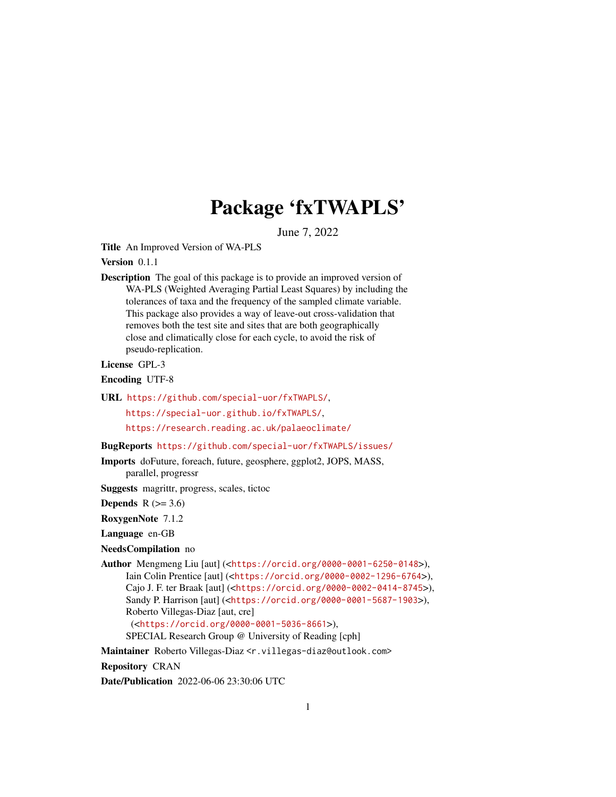# Package 'fxTWAPLS'

June 7, 2022

<span id="page-0-0"></span>Title An Improved Version of WA-PLS

#### Version 0.1.1

Description The goal of this package is to provide an improved version of WA-PLS (Weighted Averaging Partial Least Squares) by including the tolerances of taxa and the frequency of the sampled climate variable. This package also provides a way of leave-out cross-validation that removes both the test site and sites that are both geographically close and climatically close for each cycle, to avoid the risk of pseudo-replication.

License GPL-3

Encoding UTF-8

URL <https://github.com/special-uor/fxTWAPLS/>,

<https://special-uor.github.io/fxTWAPLS/>,

<https://research.reading.ac.uk/palaeoclimate/>

BugReports <https://github.com/special-uor/fxTWAPLS/issues/>

Imports doFuture, foreach, future, geosphere, ggplot2, JOPS, MASS, parallel, progressr

Suggests magrittr, progress, scales, tictoc

Depends  $R$  ( $>= 3.6$ )

RoxygenNote 7.1.2

Language en-GB

NeedsCompilation no

Author Mengmeng Liu [aut] (<<https://orcid.org/0000-0001-6250-0148>>), Iain Colin Prentice [aut] (<<https://orcid.org/0000-0002-1296-6764>>), Cajo J. F. ter Braak [aut] (<<https://orcid.org/0000-0002-0414-8745>>), Sandy P. Harrison [aut] (<<https://orcid.org/0000-0001-5687-1903>>), Roberto Villegas-Diaz [aut, cre] (<<https://orcid.org/0000-0001-5036-8661>>),

SPECIAL Research Group @ University of Reading [cph]

Maintainer Roberto Villegas-Diaz <r.villegas-diaz@outlook.com>

Repository CRAN

Date/Publication 2022-06-06 23:30:06 UTC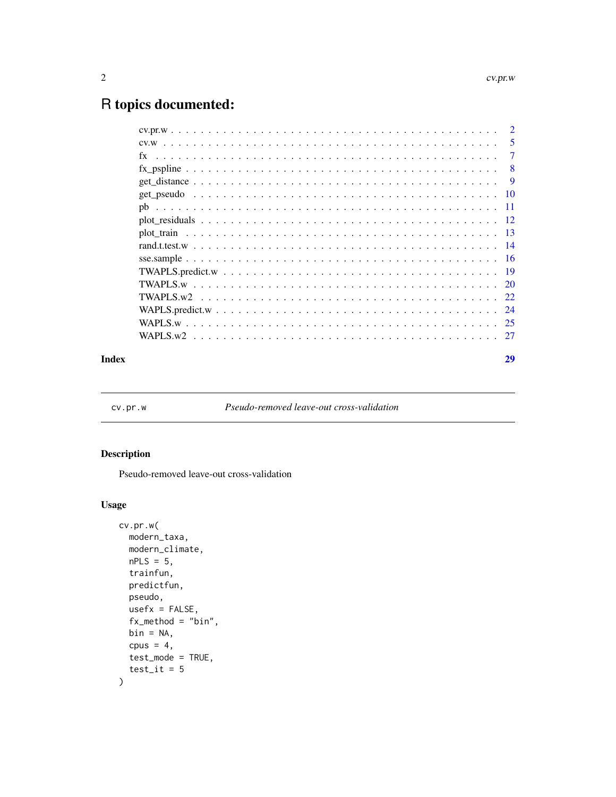# <span id="page-1-0"></span>R topics documented:

|    |  |  |  |  |  |  |  |  |  |  |  |  |  |  |  |  | 5 |
|----|--|--|--|--|--|--|--|--|--|--|--|--|--|--|--|--|---|
| fx |  |  |  |  |  |  |  |  |  |  |  |  |  |  |  |  | 7 |
|    |  |  |  |  |  |  |  |  |  |  |  |  |  |  |  |  | 8 |
|    |  |  |  |  |  |  |  |  |  |  |  |  |  |  |  |  | 9 |
|    |  |  |  |  |  |  |  |  |  |  |  |  |  |  |  |  |   |
|    |  |  |  |  |  |  |  |  |  |  |  |  |  |  |  |  |   |
|    |  |  |  |  |  |  |  |  |  |  |  |  |  |  |  |  |   |
|    |  |  |  |  |  |  |  |  |  |  |  |  |  |  |  |  |   |
|    |  |  |  |  |  |  |  |  |  |  |  |  |  |  |  |  |   |
|    |  |  |  |  |  |  |  |  |  |  |  |  |  |  |  |  |   |
|    |  |  |  |  |  |  |  |  |  |  |  |  |  |  |  |  |   |
|    |  |  |  |  |  |  |  |  |  |  |  |  |  |  |  |  |   |
|    |  |  |  |  |  |  |  |  |  |  |  |  |  |  |  |  |   |
|    |  |  |  |  |  |  |  |  |  |  |  |  |  |  |  |  |   |
|    |  |  |  |  |  |  |  |  |  |  |  |  |  |  |  |  |   |
|    |  |  |  |  |  |  |  |  |  |  |  |  |  |  |  |  |   |
|    |  |  |  |  |  |  |  |  |  |  |  |  |  |  |  |  |   |

#### **Index** [29](#page-28-0)

<span id="page-1-1"></span>cv.pr.w *Pseudo-removed leave-out cross-validation*

# Description

Pseudo-removed leave-out cross-validation

# Usage

```
cv.pr.w(
 modern_taxa,
 modern_climate,
 nPLS = 5,
  trainfun,
 predictfun,
 pseudo,
 usefx = FALSE,fx_method = "bin",bin = NA,
 cpus = 4,test_mode = TRUE,
  test\_it = 5\mathcal{L}
```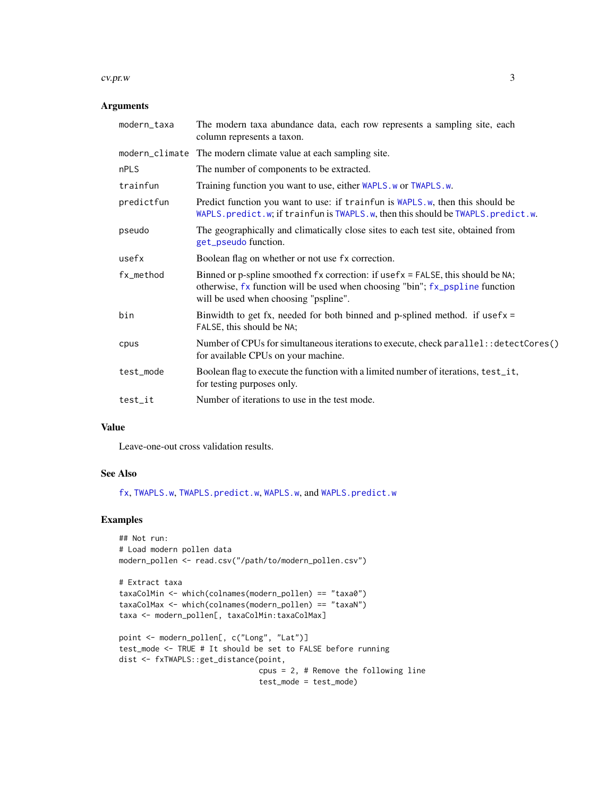#### <span id="page-2-0"></span>cv.pr.w 3

# Arguments

| modern_taxa | The modern taxa abundance data, each row represents a sampling site, each<br>column represents a taxon.                                                                                                       |
|-------------|---------------------------------------------------------------------------------------------------------------------------------------------------------------------------------------------------------------|
|             | modern_climate The modern climate value at each sampling site.                                                                                                                                                |
| nPLS        | The number of components to be extracted.                                                                                                                                                                     |
| trainfun    | Training function you want to use, either WAPLS.w or TWAPLS.w.                                                                                                                                                |
| predictfun  | Predict function you want to use: if trainfun is WAPLS.w, then this should be<br>WAPLS.predict.w; if trainfun is TWAPLS.w, then this should be TWAPLS.predict.w.                                              |
| pseudo      | The geographically and climatically close sites to each test site, obtained from<br>get_pseudo function.                                                                                                      |
| usefx       | Boolean flag on whether or not use fx correction.                                                                                                                                                             |
| fx_method   | Binned or p-spline smoothed $fx$ correction: if use $fx$ = FALSE, this should be NA;<br>otherwise, fx function will be used when choosing "bin"; fx_pspline function<br>will be used when choosing "pspline". |
| bin         | Binwidth to get fx, needed for both binned and p-splined method. if usefx $=$<br>FALSE, this should be NA;                                                                                                    |
| cpus        | Number of CPUs for simultaneous iterations to execute, check parallel: : detectCores()<br>for available CPUs on your machine.                                                                                 |
| test_mode   | Boolean flag to execute the function with a limited number of iterations, test_it,<br>for testing purposes only.                                                                                              |
| test_it     | Number of iterations to use in the test mode.                                                                                                                                                                 |

## Value

Leave-one-out cross validation results.

# See Also

[fx](#page-6-1), [TWAPLS.w](#page-19-1), [TWAPLS.predict.w](#page-18-1), [WAPLS.w](#page-24-1), and [WAPLS.predict.w](#page-23-1)

```
## Not run:
# Load modern pollen data
modern_pollen <- read.csv("/path/to/modern_pollen.csv")
# Extract taxa
taxaColMin <- which(colnames(modern_pollen) == "taxa0")
taxaColMax <- which(colnames(modern_pollen) == "taxaN")
taxa <- modern_pollen[, taxaColMin:taxaColMax]
```

```
point <- modern_pollen[, c("Long", "Lat")]
test_mode <- TRUE # It should be set to FALSE before running
dist <- fxTWAPLS::get_distance(point,
                               cpus = 2, # Remove the following line
                               test_mode = test_mode)
```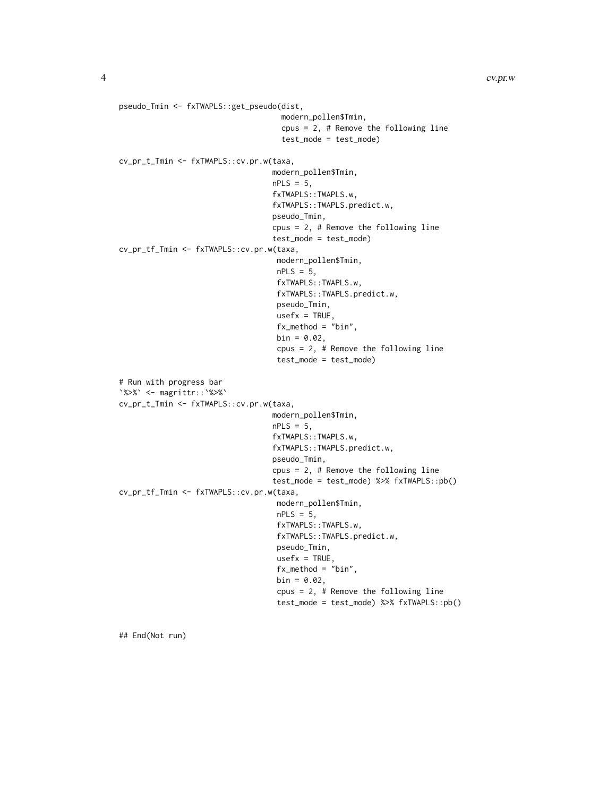```
pseudo_Tmin <- fxTWAPLS::get_pseudo(dist,
                                    modern_pollen$Tmin,
                                    cpus = 2, # Remove the following line
                                    test_mode = test_mode)
cv_pr_t_Tmin <- fxTWAPLS::cv.pr.w(taxa,
                                  modern_pollen$Tmin,
                                  nPLS = 5,
                                  fxTWAPLS::TWAPLS.w,
                                  fxTWAPLS::TWAPLS.predict.w,
                                  pseudo_Tmin,
                                  cpus = 2, # Remove the following line
                                  test_mode = test_mode)
cv_pr_tf_Tmin <- fxTWAPLS::cv.pr.w(taxa,
                                   modern_pollen$Tmin,
                                   nPLS = 5,
                                   fxTWAPLS::TWAPLS.w,
                                   fxTWAPLS::TWAPLS.predict.w,
                                   pseudo_Tmin,
                                   usefx = TRUE,fx_method = "bin",
                                   bin = 0.02,
                                   cpus = 2, # Remove the following line
                                   test_mode = test_mode)
# Run with progress bar
`%>%` <- magrittr::`%>%`
cv_pr_t_Tmin <- fxTWAPLS::cv.pr.w(taxa,
                                  modern_pollen$Tmin,
                                  nPLS = 5,
                                  fxTWAPLS::TWAPLS.w,
                                  fxTWAPLS::TWAPLS.predict.w,
                                  pseudo_Tmin,
                                  cpus = 2, # Remove the following line
                                  test_mode = test_mode) %>% fxTWAPLS::pb()
cv_pr_tf_Tmin <- fxTWAPLS::cv.pr.w(taxa,
                                   modern_pollen$Tmin,
                                   nPLS = 5,
                                   fxTWAPLS::TWAPLS.w,
                                   fxTWAPLS::TWAPLS.predict.w,
                                   pseudo_Tmin,
                                   usefx = TRUE,fx_method = "bin",
                                   bin = 0.02,
                                   cpus = 2, # Remove the following line
                                   test_mode = test_mode) %>% fxTWAPLS::pb()
```
## End(Not run)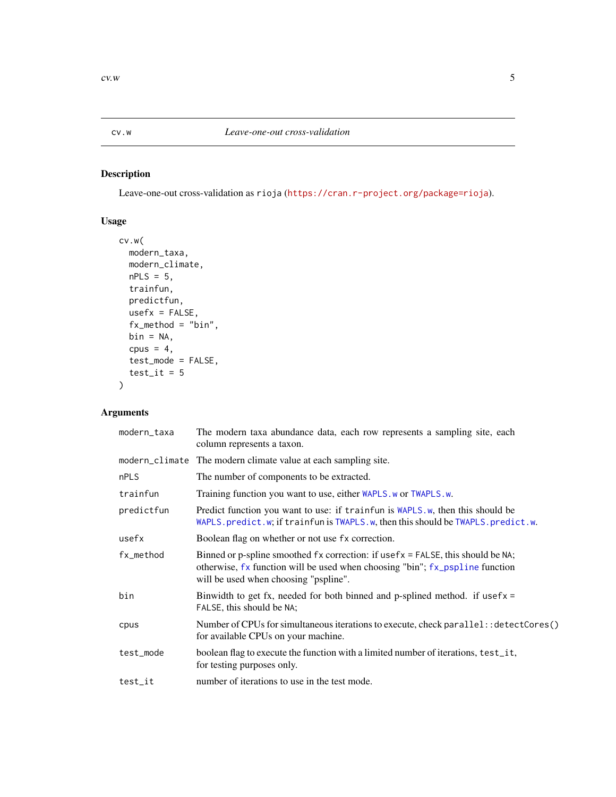<span id="page-4-1"></span><span id="page-4-0"></span>

Leave-one-out cross-validation as rioja (<https://cran.r-project.org/package=rioja>).

# Usage

```
cv.w(
  modern_taxa,
  modern_climate,
  nPLS = 5,
  trainfun,
  predictfun,
  usefx = FALSE,fx_method = "bin",
  bin = NA,
  cpus = 4,test_mode = FALSE,
  test\_it = 5\mathcal{L}
```
# Arguments

| modern_taxa | The modern taxa abundance data, each row represents a sampling site, each<br>column represents a taxon.                                                                                                        |
|-------------|----------------------------------------------------------------------------------------------------------------------------------------------------------------------------------------------------------------|
|             | modern_climate The modern climate value at each sampling site.                                                                                                                                                 |
| nPLS        | The number of components to be extracted.                                                                                                                                                                      |
| trainfun    | Training function you want to use, either <i>WAPLS</i> . w or TWAPLS. w.                                                                                                                                       |
| predictfun  | Predict function you want to use: if trainfun is WAPLS.w, then this should be<br>WAPLS.predict.w; if trainfun is TWAPLS.w, then this should be TWAPLS.predict.w.                                               |
| usefx       | Boolean flag on whether or not use fx correction.                                                                                                                                                              |
| fx_method   | Binned or p-spline smoothed $fx$ correction: if usef $x = FALSE$ , this should be NA;<br>otherwise, fx function will be used when choosing "bin"; fx_pspline function<br>will be used when choosing "pspline". |
| bin         | Binwidth to get fx, needed for both binned and p-splined method. if usefx $=$<br>FALSE, this should be NA;                                                                                                     |
| cpus        | Number of CPUs for simultaneous iterations to execute, check parallel: : detectCores()<br>for available CPUs on your machine.                                                                                  |
| test_mode   | boolean flag to execute the function with a limited number of iterations, test_it,<br>for testing purposes only.                                                                                               |
| test_it     | number of iterations to use in the test mode.                                                                                                                                                                  |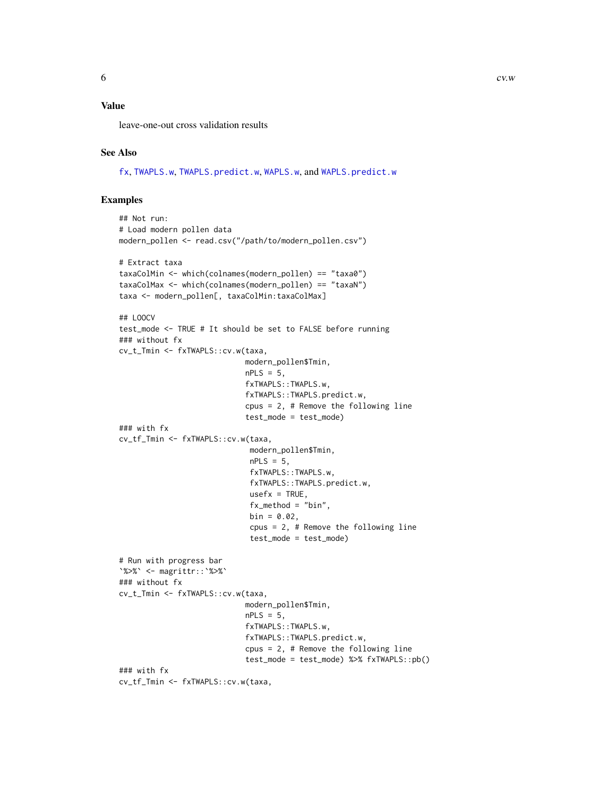# <span id="page-5-0"></span>Value

leave-one-out cross validation results

#### See Also

[fx](#page-6-1), [TWAPLS.w](#page-19-1), [TWAPLS.predict.w](#page-18-1), [WAPLS.w](#page-24-1), and [WAPLS.predict.w](#page-23-1)

```
## Not run:
# Load modern pollen data
modern_pollen <- read.csv("/path/to/modern_pollen.csv")
# Extract taxa
taxaColMin <- which(colnames(modern_pollen) == "taxa0")
taxaColMax <- which(colnames(modern_pollen) == "taxaN")
taxa <- modern_pollen[, taxaColMin:taxaColMax]
## LOOCV
test_mode <- TRUE # It should be set to FALSE before running
### without fx
cv_t_Tmin <- fxTWAPLS::cv.w(taxa,
                            modern_pollen$Tmin,
                            nPLS = 5,
                            fxTWAPLS::TWAPLS.w,
                            fxTWAPLS::TWAPLS.predict.w,
                            cpus = 2, # Remove the following line
                            test_mode = test_mode)
### with fx
cv_tf_Tmin <- fxTWAPLS::cv.w(taxa,
                             modern_pollen$Tmin,
                             nPLS = 5,
                             fxTWAPLS::TWAPLS.w,
                             fxTWAPLS::TWAPLS.predict.w,
                             usefx = TRUE,fx_method = "bin",
                             bin = 0.02,
                             cpus = 2, # Remove the following line
                             test_mode = test_mode)
# Run with progress bar
`%>%` <- magrittr::`%>%`
### without fx
cv_t_Tmin <- fxTWAPLS::cv.w(taxa,
                            modern_pollen$Tmin,
                            nPLS = 5,
                            fxTWAPLS::TWAPLS.w,
                            fxTWAPLS::TWAPLS.predict.w,
                            cpus = 2, # Remove the following line
                            test_mode = test_mode) %>% fxTWAPLS::pb()
### with fx
cv_tf_Tmin <- fxTWAPLS::cv.w(taxa,
```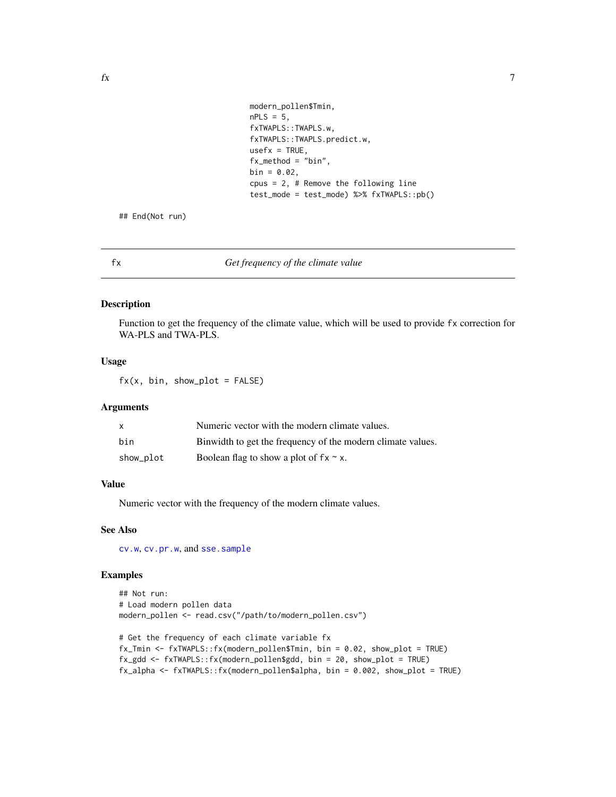```
modern_pollen$Tmin,
nPLS = 5,
fxTWAPLS::TWAPLS.w,
fxTWAPLS::TWAPLS.predict.w,
usefx = TRUE,fx_method = "bin",
bin = 0.02,cpus = 2, # Remove the following line
test_mode = test_mode) %>% fxTWAPLS::pb()
```
<span id="page-6-0"></span>## End(Not run)

<span id="page-6-1"></span>fx *Get frequency of the climate value*

#### Description

Function to get the frequency of the climate value, which will be used to provide fx correction for WA-PLS and TWA-PLS.

#### Usage

 $fx(x, bin, show\_plot = FALSE)$ 

#### Arguments

| $\mathsf{x}$ | Numeric vector with the modern climate values.              |
|--------------|-------------------------------------------------------------|
| bin          | Binwidth to get the frequency of the modern climate values. |
| show_plot    | Boolean flag to show a plot of $fx \sim x$ .                |

# Value

Numeric vector with the frequency of the modern climate values.

#### See Also

[cv.w](#page-4-1), [cv.pr.w](#page-1-1), and [sse.sample](#page-15-1)

```
## Not run:
# Load modern pollen data
modern_pollen <- read.csv("/path/to/modern_pollen.csv")
```

```
# Get the frequency of each climate variable fx
fx_Tmin <- fxTWAPLS::fx(modern_pollen$Tmin, bin = 0.02, show_plot = TRUE)
fx_gdd <- fxTWAPLS::fx(modern_pollen$gdd, bin = 20, show_plot = TRUE)
fx_alpha <- fxTWAPLS::fx(modern_pollen$alpha, bin = 0.002, show_plot = TRUE)
```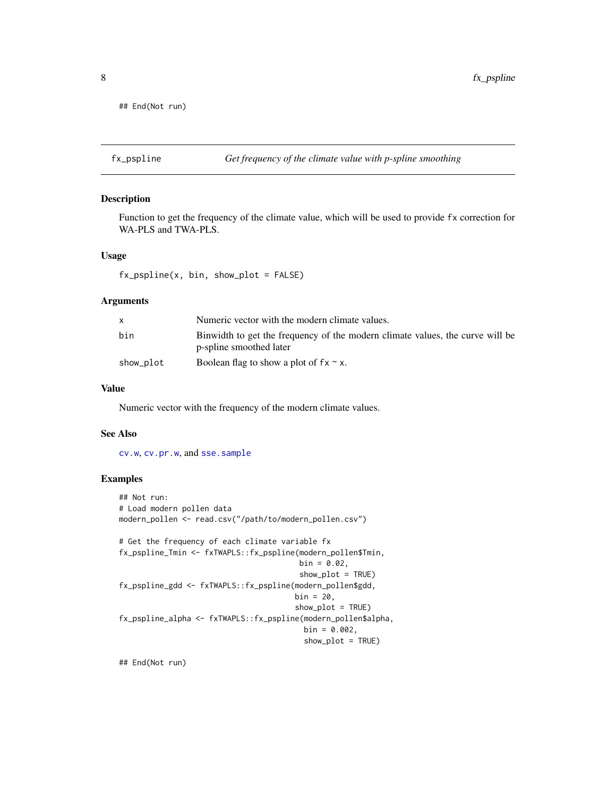```
## End(Not run)
```
<span id="page-7-1"></span>

Function to get the frequency of the climate value, which will be used to provide fx correction for WA-PLS and TWA-PLS.

#### Usage

```
fx_pspline(x, bin, show.plot = FALSE)
```
#### Arguments

|           | Numeric vector with the modern climate values.                                                           |
|-----------|----------------------------------------------------------------------------------------------------------|
| bin       | Binwidth to get the frequency of the modern climate values, the curve will be<br>p-spline smoothed later |
| show_plot | Boolean flag to show a plot of $fx \sim x$ .                                                             |

# Value

Numeric vector with the frequency of the modern climate values.

#### See Also

[cv.w](#page-4-1), [cv.pr.w](#page-1-1), and [sse.sample](#page-15-1)

#### Examples

```
## Not run:
# Load modern pollen data
modern_pollen <- read.csv("/path/to/modern_pollen.csv")
# Get the frequency of each climate variable fx
fx_pspline_Tmin <- fxTWAPLS::fx_pspline(modern_pollen$Tmin,
                                        bin = 0.02,
                                        show_plot = TRUE)
fx_pspline_gdd <- fxTWAPLS::fx_pspline(modern_pollen$gdd,
                                       bin = 20,
                                       show_plot = TRUE)
fx_pspline_alpha <- fxTWAPLS::fx_pspline(modern_pollen$alpha,
                                         bin = 0.002,
                                         show_plot = TRUE)
```
## End(Not run)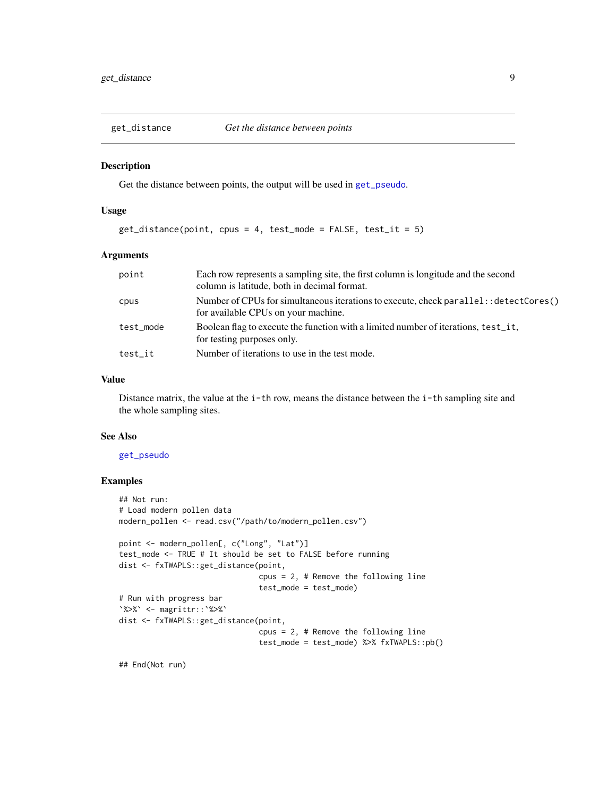<span id="page-8-1"></span><span id="page-8-0"></span>

Get the distance between points, the output will be used in [get\\_pseudo](#page-9-1).

#### Usage

```
get\_distance(point, cpus = 4, test_model = FALSE, test_it = 5)
```
# Arguments

| point     | Each row represents a sampling site, the first column is longitude and the second<br>column is latitude, both in decimal format. |
|-----------|----------------------------------------------------------------------------------------------------------------------------------|
| cpus      | Number of CPUs for simultaneous iterations to execute, check parallel: : detectCores()<br>for available CPUs on your machine.    |
| test_mode | Boolean flag to execute the function with a limited number of iterations, test it,<br>for testing purposes only.                 |
| test_it   | Number of iterations to use in the test mode.                                                                                    |

#### Value

Distance matrix, the value at the i-th row, means the distance between the i-th sampling site and the whole sampling sites.

#### See Also

#### [get\\_pseudo](#page-9-1)

# Examples

```
## Not run:
# Load modern pollen data
modern_pollen <- read.csv("/path/to/modern_pollen.csv")
point <- modern_pollen[, c("Long", "Lat")]
test_mode <- TRUE # It should be set to FALSE before running
dist <- fxTWAPLS::get_distance(point,
                               cpus = 2, # Remove the following line
                               test_mode = test_mode)
# Run with progress bar
`%>%` <- magrittr::`%>%`
dist <- fxTWAPLS::get_distance(point,
                               cpus = 2, # Remove the following line
                               test_mode = test_mode) %>% fxTWAPLS::pb()
```
## End(Not run)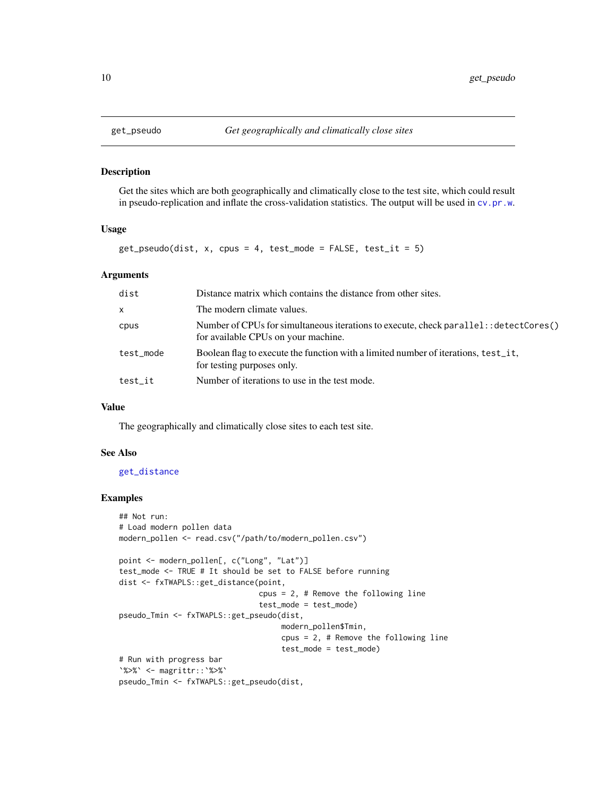<span id="page-9-1"></span><span id="page-9-0"></span>

Get the sites which are both geographically and climatically close to the test site, which could result in pseudo-replication and inflate the cross-validation statistics. The output will be used in [cv.pr.w](#page-1-1).

#### Usage

```
get_pseudo(dist, x, cpus = 4, test_mode = FALSE, test_it = 5)
```
#### Arguments

| dist         | Distance matrix which contains the distance from other sites.                                                                 |
|--------------|-------------------------------------------------------------------------------------------------------------------------------|
| $\mathsf{x}$ | The modern climate values.                                                                                                    |
| cpus         | Number of CPUs for simultaneous iterations to execute, check parallel: : detectCores()<br>for available CPUs on your machine. |
| test_mode    | Boolean flag to execute the function with a limited number of iterations, test_it,<br>for testing purposes only.              |
| test_it      | Number of iterations to use in the test mode.                                                                                 |

# Value

The geographically and climatically close sites to each test site.

# See Also

#### [get\\_distance](#page-8-1)

```
## Not run:
# Load modern pollen data
modern_pollen <- read.csv("/path/to/modern_pollen.csv")
point <- modern_pollen[, c("Long", "Lat")]
test_mode <- TRUE # It should be set to FALSE before running
dist <- fxTWAPLS::get_distance(point,
                               cpus = 2, # Remove the following line
                               test_mode = test_mode)
pseudo_Tmin <- fxTWAPLS::get_pseudo(dist,
                                    modern_pollen$Tmin,
                                    cpus = 2, # Remove the following line
                                    test_mode = test_mode)
# Run with progress bar
`%>%` <- magrittr::`%>%`
pseudo_Tmin <- fxTWAPLS::get_pseudo(dist,
```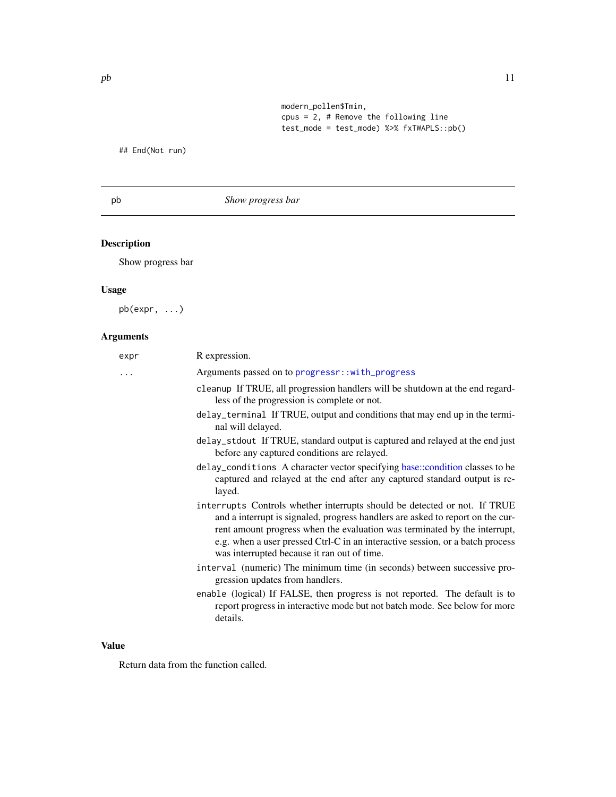modern\_pollen\$Tmin,  $cpus = 2$ , # Remove the following line test\_mode = test\_mode) %>% fxTWAPLS::pb()

<span id="page-10-0"></span>## End(Not run)

# pb *Show progress bar*

# Description

Show progress bar

# Usage

pb(expr, ...)

# Arguments

| expr     | R expression.                                                                                                                                                                                                                                                                                                                                                            |
|----------|--------------------------------------------------------------------------------------------------------------------------------------------------------------------------------------------------------------------------------------------------------------------------------------------------------------------------------------------------------------------------|
| $\cdots$ | Arguments passed on to progressr::with_progress                                                                                                                                                                                                                                                                                                                          |
|          | cleanup If TRUE, all progression handlers will be shutdown at the end regard-<br>less of the progression is complete or not.                                                                                                                                                                                                                                             |
|          | delay_terminal If TRUE, output and conditions that may end up in the termi-<br>nal will delayed.                                                                                                                                                                                                                                                                         |
|          | delay_stdout If TRUE, standard output is captured and relayed at the end just<br>before any captured conditions are relayed.                                                                                                                                                                                                                                             |
|          | delay_conditions A character vector specifying base::condition classes to be<br>captured and relayed at the end after any captured standard output is re-<br>layed.                                                                                                                                                                                                      |
|          | interrupts Controls whether interrupts should be detected or not. If TRUE<br>and a interrupt is signaled, progress handlers are asked to report on the cur-<br>rent amount progress when the evaluation was terminated by the interrupt,<br>e.g. when a user pressed Ctrl-C in an interactive session, or a batch process<br>was interrupted because it ran out of time. |
|          | interval (numeric) The minimum time (in seconds) between successive pro-<br>gression updates from handlers.                                                                                                                                                                                                                                                              |
|          | enable (logical) If FALSE, then progress is not reported. The default is to<br>report progress in interactive mode but not batch mode. See below for more<br>details.                                                                                                                                                                                                    |
|          |                                                                                                                                                                                                                                                                                                                                                                          |

# Value

Return data from the function called.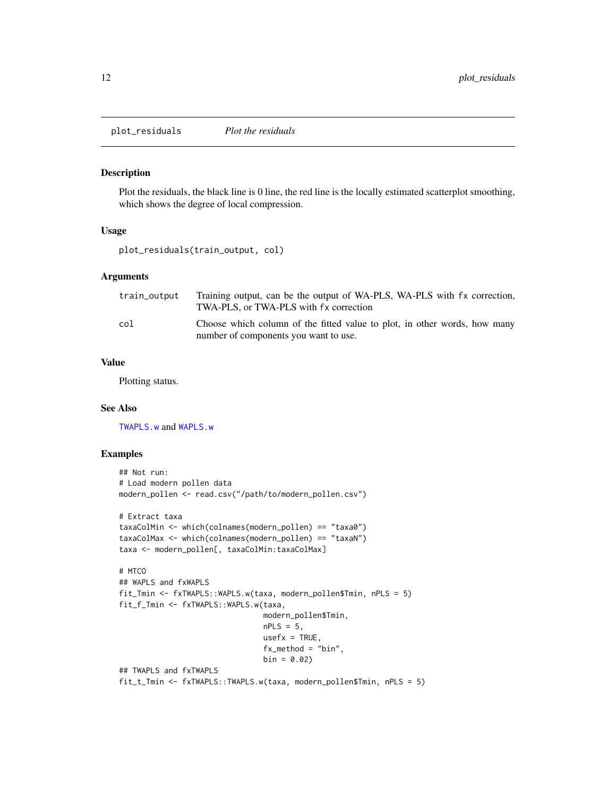<span id="page-11-0"></span>plot\_residuals *Plot the residuals*

# Description

Plot the residuals, the black line is 0 line, the red line is the locally estimated scatterplot smoothing, which shows the degree of local compression.

#### Usage

plot\_residuals(train\_output, col)

# Arguments

| train_output | Training output, can be the output of WA-PLS, WA-PLS with fx correction,<br>TWA-PLS, or TWA-PLS with fx correction |
|--------------|--------------------------------------------------------------------------------------------------------------------|
| col          | Choose which column of the fitted value to plot, in other words, how many<br>number of components you want to use. |

# Value

Plotting status.

#### See Also

[TWAPLS.w](#page-19-1) and [WAPLS.w](#page-24-1)

```
## Not run:
# Load modern pollen data
modern_pollen <- read.csv("/path/to/modern_pollen.csv")
# Extract taxa
taxaColMin <- which(colnames(modern_pollen) == "taxa0")
taxaColMax <- which(colnames(modern_pollen) == "taxaN")
taxa <- modern_pollen[, taxaColMin:taxaColMax]
# MTCO
## WAPLS and fxWAPLS
fit_Tmin <- fxTWAPLS::WAPLS.w(taxa, modern_pollen$Tmin, nPLS = 5)
fit_f_Tmin <- fxTWAPLS::WAPLS.w(taxa,
                                modern_pollen$Tmin,
                                nPLS = 5,
                                usefx = TRUE,fx_method = "bin",
                                bin = 0.02## TWAPLS and fxTWAPLS
fit_t_Tmin <- fxTWAPLS::TWAPLS.w(taxa, modern_pollen$Tmin, nPLS = 5)
```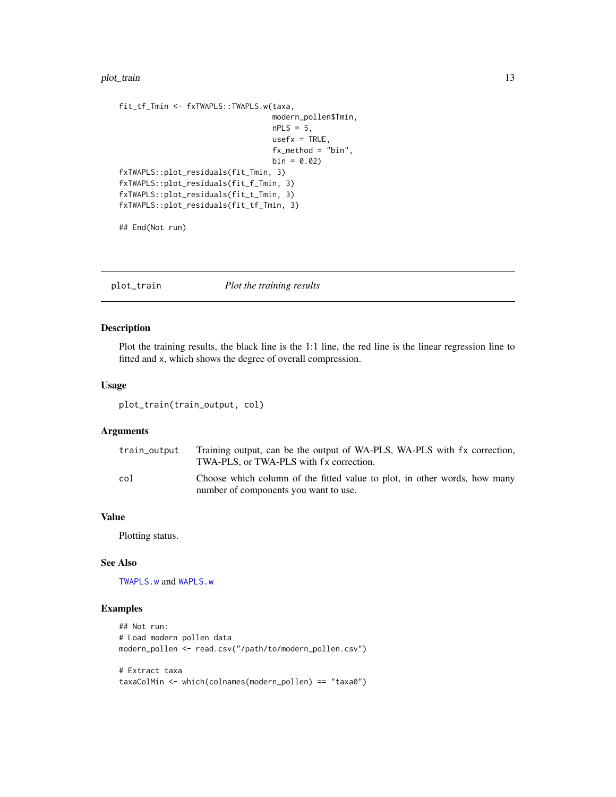#### <span id="page-12-0"></span>plot\_train 13

```
fit_tf_Tmin <- fxTWAPLS::TWAPLS.w(taxa,
                                 modern_pollen$Tmin,
                                  nPLS = 5,
                                  usefx = TRUE,fx_method = "bin",
                                  bin = 0.02fxTWAPLS::plot_residuals(fit_Tmin, 3)
fxTWAPLS::plot_residuals(fit_f_Tmin, 3)
fxTWAPLS::plot_residuals(fit_t_Tmin, 3)
fxTWAPLS::plot_residuals(fit_tf_Tmin, 3)
```
## End(Not run)

plot\_train *Plot the training results*

# Description

Plot the training results, the black line is the 1:1 line, the red line is the linear regression line to fitted and x, which shows the degree of overall compression.

#### Usage

plot\_train(train\_output, col)

# Arguments

| train_output | Training output, can be the output of WA-PLS, WA-PLS with fx correction,<br>TWA-PLS, or TWA-PLS with fx correction. |
|--------------|---------------------------------------------------------------------------------------------------------------------|
| col          | Choose which column of the fitted value to plot, in other words, how many<br>number of components you want to use.  |

# Value

Plotting status.

#### See Also

[TWAPLS.w](#page-19-1) and [WAPLS.w](#page-24-1)

```
## Not run:
# Load modern pollen data
modern_pollen <- read.csv("/path/to/modern_pollen.csv")
# Extract taxa
taxaColMin <- which(colnames(modern_pollen) == "taxa0")
```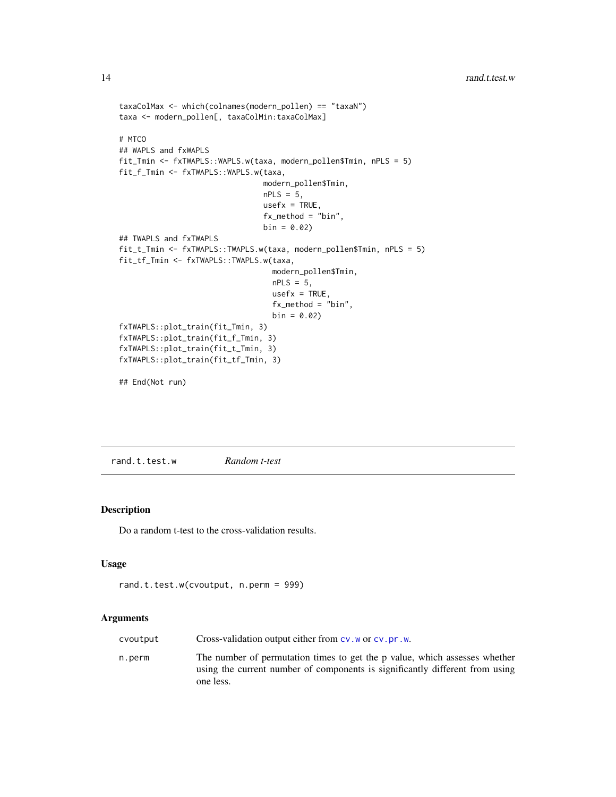```
taxaColMax <- which(colnames(modern_pollen) == "taxaN")
taxa <- modern_pollen[, taxaColMin:taxaColMax]
# MTCO
## WAPLS and fxWAPLS
fit_Tmin <- fxTWAPLS::WAPLS.w(taxa, modern_pollen$Tmin, nPLS = 5)
fit_f_Tmin <- fxTWAPLS::WAPLS.w(taxa,
                                modern_pollen$Tmin,
                                nPLS = 5,
                                usefx = TRUE,fx_method = "bin",
                                bin = 0.02## TWAPLS and fxTWAPLS
fit_t_Tmin <- fxTWAPLS::TWAPLS.w(taxa, modern_pollen$Tmin, nPLS = 5)
fit_tf_Tmin <- fxTWAPLS::TWAPLS.w(taxa,
                                  modern_pollen$Tmin,
                                  nPLS = 5,
                                  usefx = TRUE,fx_method = "bin",
                                  bin = 0.02fxTWAPLS::plot_train(fit_Tmin, 3)
fxTWAPLS::plot_train(fit_f_Tmin, 3)
fxTWAPLS::plot_train(fit_t_Tmin, 3)
fxTWAPLS::plot_train(fit_tf_Tmin, 3)
```
## End(Not run)

rand.t.test.w *Random t-test*

# Description

Do a random t-test to the cross-validation results.

## Usage

```
rand.t.test.w(cvoutput, n.perm = 999)
```
#### Arguments

| cvoutput | Cross-validation output either from $cv$ . w or $cv$ . pr. w.                                                                                                           |
|----------|-------------------------------------------------------------------------------------------------------------------------------------------------------------------------|
| n.perm   | The number of permutation times to get the p value, which assesses whether<br>using the current number of components is significantly different from using<br>one less. |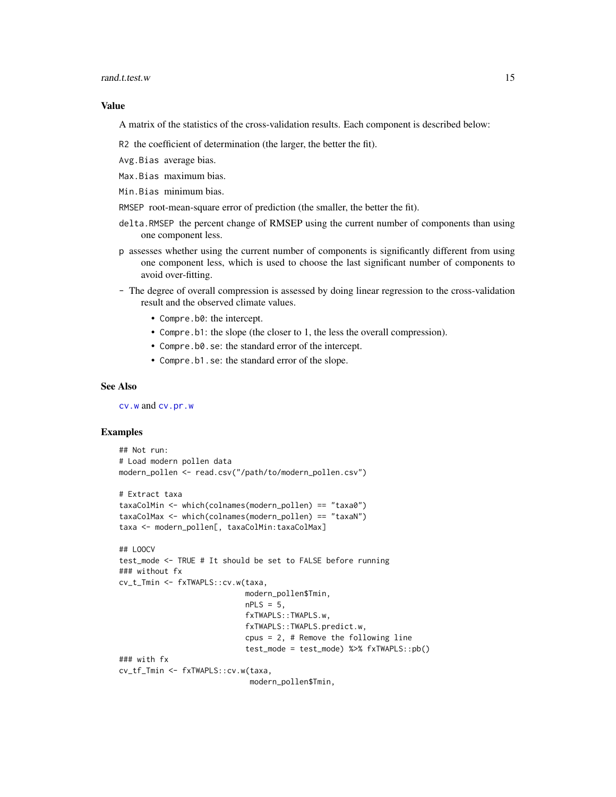#### <span id="page-14-0"></span>rand.t.test.w 15

#### Value

A matrix of the statistics of the cross-validation results. Each component is described below:

- R2 the coefficient of determination (the larger, the better the fit).
- Avg.Bias average bias.
- Max.Bias maximum bias.
- Min.Bias minimum bias.
- RMSEP root-mean-square error of prediction (the smaller, the better the fit).
- delta.RMSEP the percent change of RMSEP using the current number of components than using one component less.
- p assesses whether using the current number of components is significantly different from using one component less, which is used to choose the last significant number of components to avoid over-fitting.
- The degree of overall compression is assessed by doing linear regression to the cross-validation result and the observed climate values.
	- Compre.b0: the intercept.
	- Compre.b1: the slope (the closer to 1, the less the overall compression).
	- Compre.b0.se: the standard error of the intercept.
	- Compre.b1.se: the standard error of the slope.

# See Also

[cv.w](#page-4-1) and [cv.pr.w](#page-1-1)

```
## Not run:
# Load modern pollen data
modern_pollen <- read.csv("/path/to/modern_pollen.csv")
# Extract taxa
taxaColMin <- which(colnames(modern_pollen) == "taxa0")
taxaColMax <- which(colnames(modern_pollen) == "taxaN")
taxa <- modern_pollen[, taxaColMin:taxaColMax]
## LOOCV
test_mode <- TRUE # It should be set to FALSE before running
### without fx
cv_t_Tmin <- fxTWAPLS::cv.w(taxa,
                            modern_pollen$Tmin,
                            nPLS = 5,
                            fxTWAPLS::TWAPLS.w,
                            fxTWAPLS::TWAPLS.predict.w,
                            cpus = 2, # Remove the following line
                            test_mode = test_mode) %>% fxTWAPLS::pb()
### with fx
cv_tf_Tmin <- fxTWAPLS::cv.w(taxa,
                             modern_pollen$Tmin,
```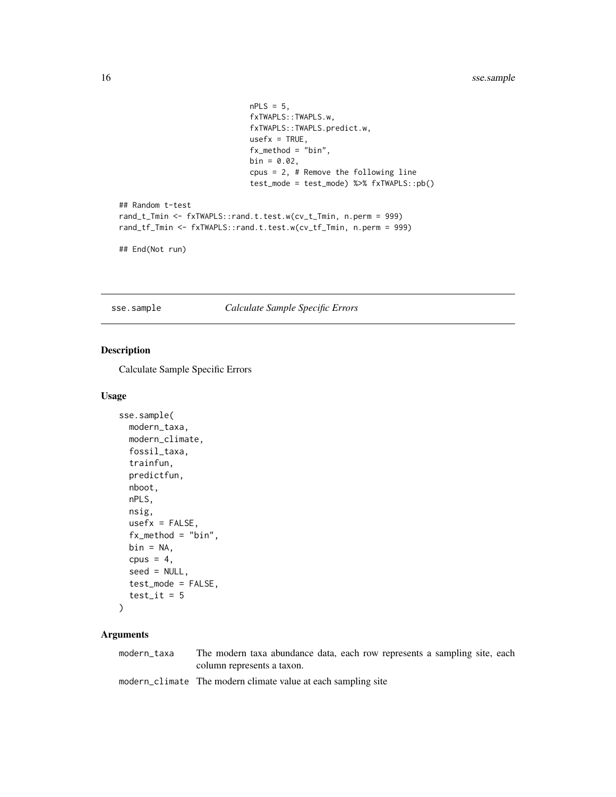```
nPLS = 5,
                             fxTWAPLS::TWAPLS.w,
                             fxTWAPLS::TWAPLS.predict.w,
                             usefx = TRUE,fx_method = "bin",
                             bin = 0.02,
                             cpus = 2, # Remove the following line
                             test_mode = test_mode) %>% fxTWAPLS::pb()
## Random t-test
rand_t_Tmin <- fxTWAPLS::rand.t.test.w(cv_t_Tmin, n.perm = 999)
rand_tf_Tmin <- fxTWAPLS::rand.t.test.w(cv_tf_Tmin, n.perm = 999)
```

```
## End(Not run)
```
<span id="page-15-1"></span>sse.sample *Calculate Sample Specific Errors*

# Description

Calculate Sample Specific Errors

#### Usage

```
sse.sample(
 modern_taxa,
 modern_climate,
  fossil_taxa,
  trainfun,
  predictfun,
 nboot,
  nPLS,
  nsig,
 usefx = FALSE,fx_method = "bin",
 bin = NA,
  cpus = 4,
  seed = NULL,
  test_mode = FALSE,
  test_it = 5
```

```
)
```
#### Arguments

modern\_taxa The modern taxa abundance data, each row represents a sampling site, each column represents a taxon.

modern\_climate The modern climate value at each sampling site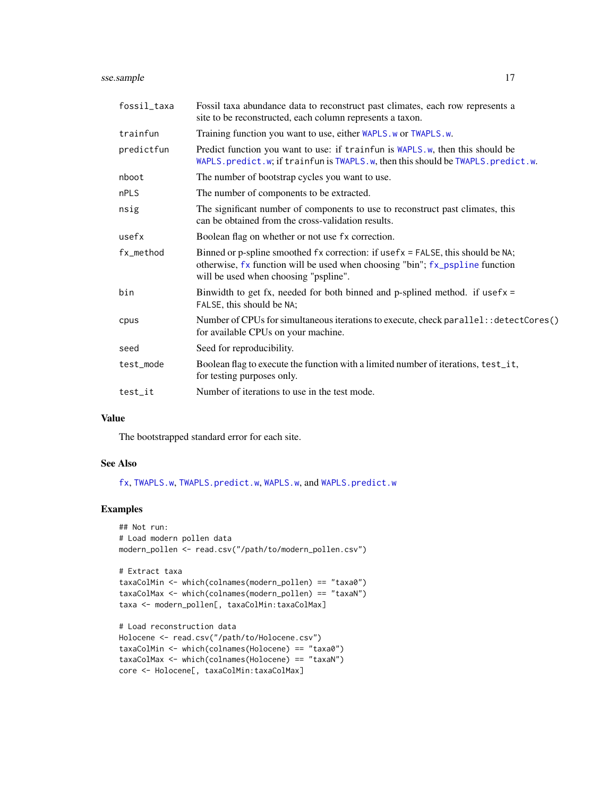<span id="page-16-0"></span>sse.sample 17

| fossil_taxa | Fossil taxa abundance data to reconstruct past climates, each row represents a<br>site to be reconstructed, each column represents a taxon.                                                              |
|-------------|----------------------------------------------------------------------------------------------------------------------------------------------------------------------------------------------------------|
| trainfun    | Training function you want to use, either WAPLS.w or TWAPLS.w.                                                                                                                                           |
| predictfun  | Predict function you want to use: if trainfun is WAPLS.w, then this should be<br>WAPLS.predict.w; if trainfun is TWAPLS.w, then this should be TWAPLS.predict.w.                                         |
| nboot       | The number of bootstrap cycles you want to use.                                                                                                                                                          |
| nPLS        | The number of components to be extracted.                                                                                                                                                                |
| nsig        | The significant number of components to use to reconstruct past climates, this<br>can be obtained from the cross-validation results.                                                                     |
| usefx       | Boolean flag on whether or not use fx correction.                                                                                                                                                        |
| fx_method   | Binned or p-spline smoothed fx correction: if usefx = FALSE, this should be NA;<br>otherwise, fx function will be used when choosing "bin"; fx_pspline function<br>will be used when choosing "pspline". |
| bin         | Binwidth to get fx, needed for both binned and p-splined method. if usefx =<br>FALSE, this should be NA;                                                                                                 |
| cpus        | Number of CPUs for simultaneous iterations to execute, check parallel: : detectCores()<br>for available CPUs on your machine.                                                                            |
| seed        | Seed for reproducibility.                                                                                                                                                                                |
| test_mode   | Boolean flag to execute the function with a limited number of iterations, test_it,<br>for testing purposes only.                                                                                         |
| test_it     | Number of iterations to use in the test mode.                                                                                                                                                            |

# Value

The bootstrapped standard error for each site.

## See Also

[fx](#page-6-1), [TWAPLS.w](#page-19-1), [TWAPLS.predict.w](#page-18-1), [WAPLS.w](#page-24-1), and [WAPLS.predict.w](#page-23-1)

# Examples

```
## Not run:
# Load modern pollen data
modern_pollen <- read.csv("/path/to/modern_pollen.csv")
# Extract taxa
taxaColMin <- which(colnames(modern_pollen) == "taxa0")
taxaColMax <- which(colnames(modern_pollen) == "taxaN")
```

```
# Load reconstruction data
Holocene <- read.csv("/path/to/Holocene.csv")
taxaColMin <- which(colnames(Holocene) == "taxa0")
taxaColMax <- which(colnames(Holocene) == "taxaN")
core <- Holocene[, taxaColMin:taxaColMax]
```
taxa <- modern\_pollen[, taxaColMin:taxaColMax]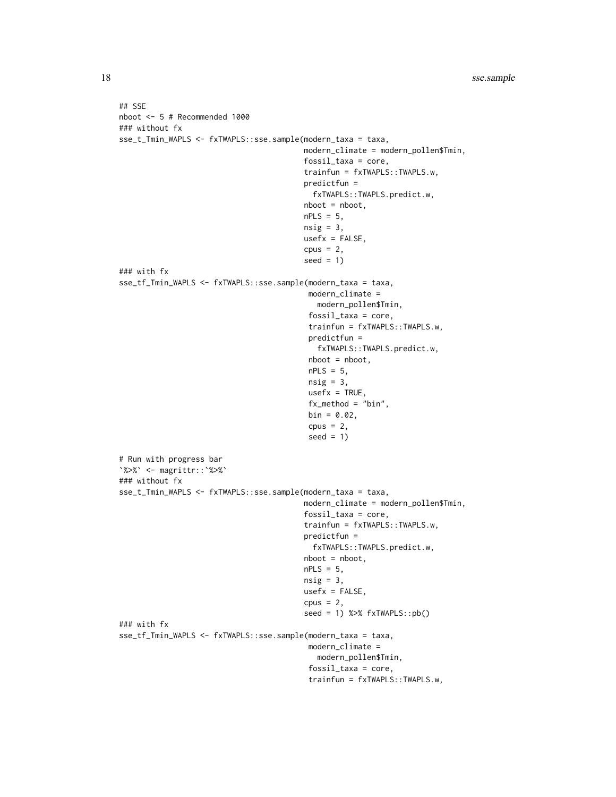```
## SSE
nboot <- 5 # Recommended 1000
### without fx
sse_t_Tmin_WAPLS <- fxTWAPLS::sse.sample(modern_taxa = taxa,
                                         modern_climate = modern_pollen$Tmin,
                                         fossil_taxa = core,
                                         trainfun = fxTWAPLS::TWAPLS.w,
                                         predictfun =
                                           fxTWAPLS::TWAPLS.predict.w,
                                         nboot = nboot,
                                         nPLS = 5,
                                         nsig = 3,
                                         usefx = FALSE,cpus = 2,seed = 1### with fx
sse_tf_Tmin_WAPLS <- fxTWAPLS::sse.sample(modern_taxa = taxa,
                                          modern_climate =
                                            modern_pollen$Tmin,
                                          fossil_taxa = core,
                                          trainfun = fxTWAPLS::TWAPLS.w,
                                          predictfun =
                                            fxTWAPLS::TWAPLS.predict.w,
                                          nboot = nboot,
                                          nPLS = 5,
                                          nsig = 3,
                                          usefx = TRUE,fx_method = "bin",
                                          bin = 0.02,
                                          cpus = 2,seed = 1)# Run with progress bar
`%>%` <- magrittr::`%>%`
### without fx
sse_t_Tmin_WAPLS <- fxTWAPLS::sse.sample(modern_taxa = taxa,
                                         modern_climate = modern_pollen$Tmin,
                                         fossil_taxa = core,
                                         trainfun = fxTWAPLS::TWAPLS.w,
                                         predictfun =
                                           fxTWAPLS::TWAPLS.predict.w,
                                         nboot = nboot,
                                         nPLS = 5,
                                         nsig = 3,usefx = FALSE,cpus = 2,seed = 1) %>% fxTWAPLS::pb()
### with fx
sse_tf_Tmin_WAPLS <- fxTWAPLS::sse.sample(modern_taxa = taxa,
                                          modern_climate =
                                            modern_pollen$Tmin,
                                          fossil_taxa = core,
                                          trainfun = fxTWAPLS::TWAPLS.w,
```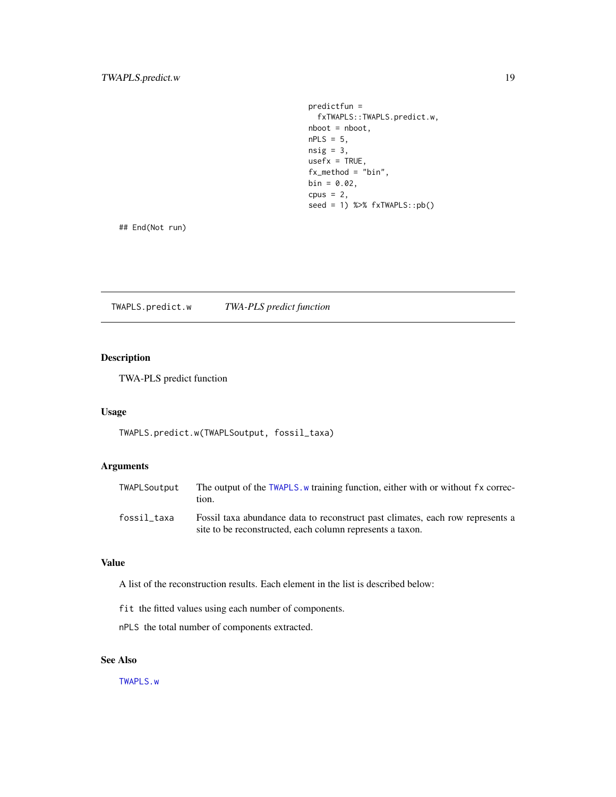predictfun = fxTWAPLS::TWAPLS.predict.w, nboot = nboot,  $nPLS = 5$ ,  $nsig = 3,$  $usefx = TRUE,$ fx\_method = "bin",  $bin = 0.02$ ,  $cpus = 2,$  $seed = 1)$  % $>$ %  $f$ xTWAPLS::pb()

<span id="page-18-0"></span>## End(Not run)

<span id="page-18-1"></span>TWAPLS.predict.w *TWA-PLS predict function*

# Description

TWA-PLS predict function

#### Usage

TWAPLS.predict.w(TWAPLSoutput, fossil\_taxa)

# Arguments

| TWAPLSoutput | The output of the TWAPLS, w training function, either with or without fx correc-<br>tion.                                                   |
|--------------|---------------------------------------------------------------------------------------------------------------------------------------------|
| fossil_taxa  | Fossil taxa abundance data to reconstruct past climates, each row represents a<br>site to be reconstructed, each column represents a taxon. |

### Value

A list of the reconstruction results. Each element in the list is described below:

fit the fitted values using each number of components.

nPLS the total number of components extracted.

# See Also

[TWAPLS.w](#page-19-1)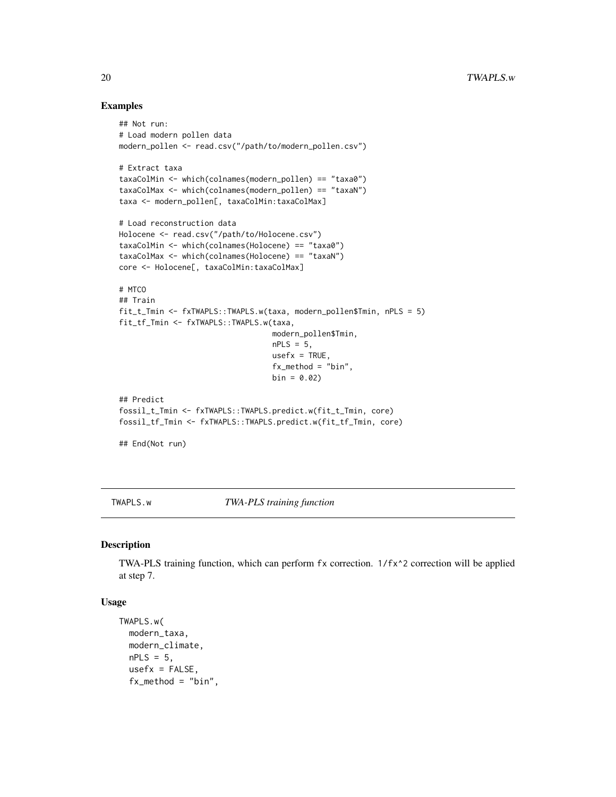#### Examples

```
## Not run:
# Load modern pollen data
modern_pollen <- read.csv("/path/to/modern_pollen.csv")
# Extract taxa
taxaColMin <- which(colnames(modern_pollen) == "taxa0")
taxaColMax <- which(colnames(modern_pollen) == "taxaN")
taxa <- modern_pollen[, taxaColMin:taxaColMax]
# Load reconstruction data
Holocene <- read.csv("/path/to/Holocene.csv")
taxaColMin <- which(colnames(Holocene) == "taxa0")
taxaColMax <- which(colnames(Holocene) == "taxaN")
core <- Holocene[, taxaColMin:taxaColMax]
# MTCO
## Train
fit_t_Tmin <- fxTWAPLS::TWAPLS.w(taxa, modern_pollen$Tmin, nPLS = 5)
fit_tf_Tmin <- fxTWAPLS::TWAPLS.w(taxa,
                                  modern_pollen$Tmin,
                                  nPLS = 5,
                                  usefx = TRUE,fx_method = "bin",
                                  bin = 0.02## Predict
fossil_t_Tmin <- fxTWAPLS::TWAPLS.predict.w(fit_t_Tmin, core)
fossil_tf_Tmin <- fxTWAPLS::TWAPLS.predict.w(fit_tf_Tmin, core)
## End(Not run)
```
<span id="page-19-1"></span>TWAPLS.w *TWA-PLS training function*

#### Description

TWA-PLS training function, which can perform fx correction. 1/fx^2 correction will be applied at step 7.

#### Usage

```
TWAPLS.w(
 modern_taxa,
 modern_climate,
 nPLS = 5,
  usefx = FALSE,
  fx_method = "bin",
```
<span id="page-19-0"></span>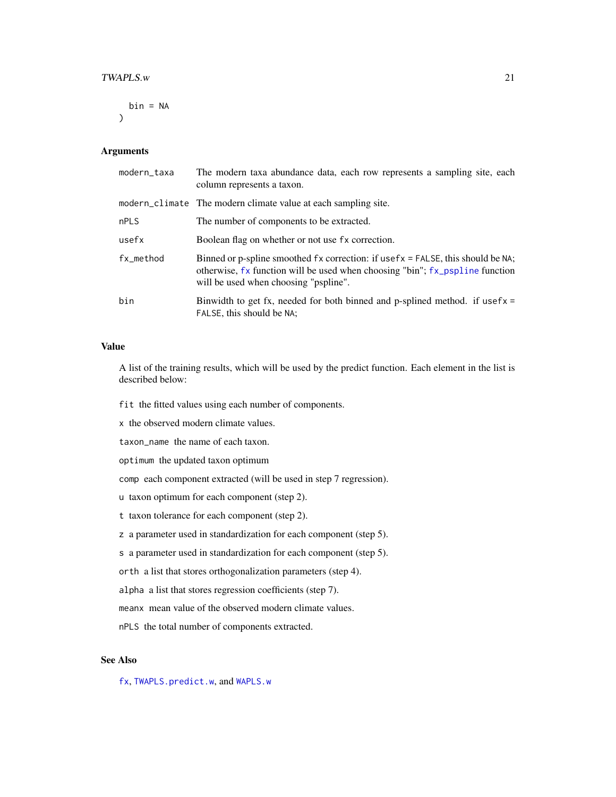#### <span id="page-20-0"></span> $TWAPLS.w$  21

 $bin = NA$ )

#### Arguments

| modern_taxa | The modern taxa abundance data, each row represents a sampling site, each<br>column represents a taxon.                                                                                                  |
|-------------|----------------------------------------------------------------------------------------------------------------------------------------------------------------------------------------------------------|
|             | modern_climate The modern climate value at each sampling site.                                                                                                                                           |
| <b>nPLS</b> | The number of components to be extracted.                                                                                                                                                                |
| usefx       | Boolean flag on whether or not use fx correction.                                                                                                                                                        |
| fx_method   | Binned or p-spline smoothed fx correction: if usefx = FALSE, this should be NA;<br>otherwise, fx function will be used when choosing "bin"; fx_pspline function<br>will be used when choosing "pspline". |
| bin         | Binwidth to get fx, needed for both binned and p-splined method. if usefx $=$<br>FALSE, this should be NA;                                                                                               |

## Value

A list of the training results, which will be used by the predict function. Each element in the list is described below:

fit the fitted values using each number of components.

x the observed modern climate values.

taxon\_name the name of each taxon.

optimum the updated taxon optimum

comp each component extracted (will be used in step 7 regression).

- u taxon optimum for each component (step 2).
- t taxon tolerance for each component (step 2).

z a parameter used in standardization for each component (step 5).

s a parameter used in standardization for each component (step 5).

orth a list that stores orthogonalization parameters (step 4).

alpha a list that stores regression coefficients (step 7).

meanx mean value of the observed modern climate values.

nPLS the total number of components extracted.

# See Also

[fx](#page-6-1), [TWAPLS.predict.w](#page-18-1), and [WAPLS.w](#page-24-1)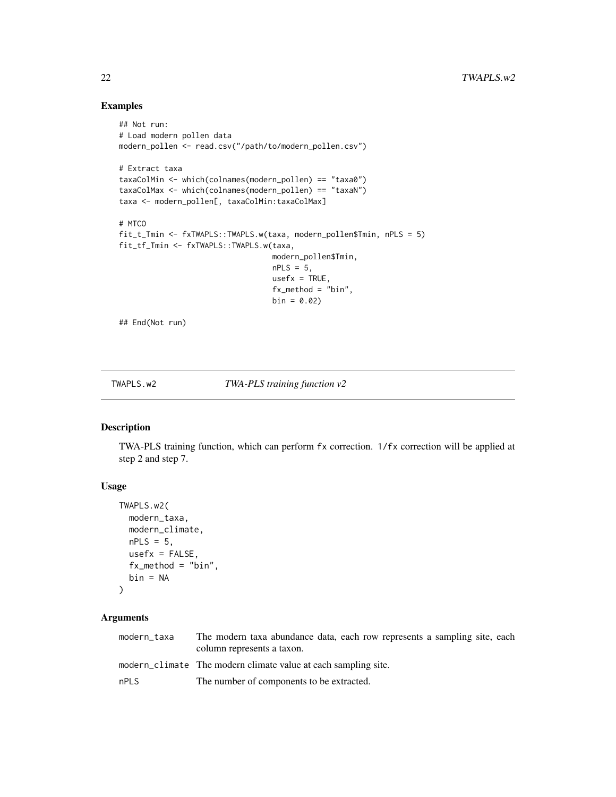# Examples

```
## Not run:
# Load modern pollen data
modern_pollen <- read.csv("/path/to/modern_pollen.csv")
# Extract taxa
taxaColMin <- which(colnames(modern_pollen) == "taxa0")
taxaColMax <- which(colnames(modern_pollen) == "taxaN")
taxa <- modern_pollen[, taxaColMin:taxaColMax]
# MTCO
fit_t_Tmin <- fxTWAPLS::TWAPLS.w(taxa, modern_pollen$Tmin, nPLS = 5)
fit_tf_Tmin <- fxTWAPLS::TWAPLS.w(taxa,
                                  modern_pollen$Tmin,
                                  nPLS = 5,
                                  usefx = TRUE,fx_method = "bin",
                                  bin = 0.02
```
## End(Not run)

TWAPLS.w2 *TWA-PLS training function v2*

#### Description

TWA-PLS training function, which can perform fx correction. 1/fx correction will be applied at step 2 and step 7.

# Usage

```
TWAPLS.w2(
  modern_taxa,
 modern_climate,
  nPLS = 5,
 usefx = FALSE,
  fx_method = "bin",
 bin = NA
)
```
# Arguments

| modern taxa | The modern taxa abundance data, each row represents a sampling site, each<br>column represents a taxon. |
|-------------|---------------------------------------------------------------------------------------------------------|
|             | modern_climate The modern climate value at each sampling site.                                          |
| nPLS        | The number of components to be extracted.                                                               |

<span id="page-21-0"></span>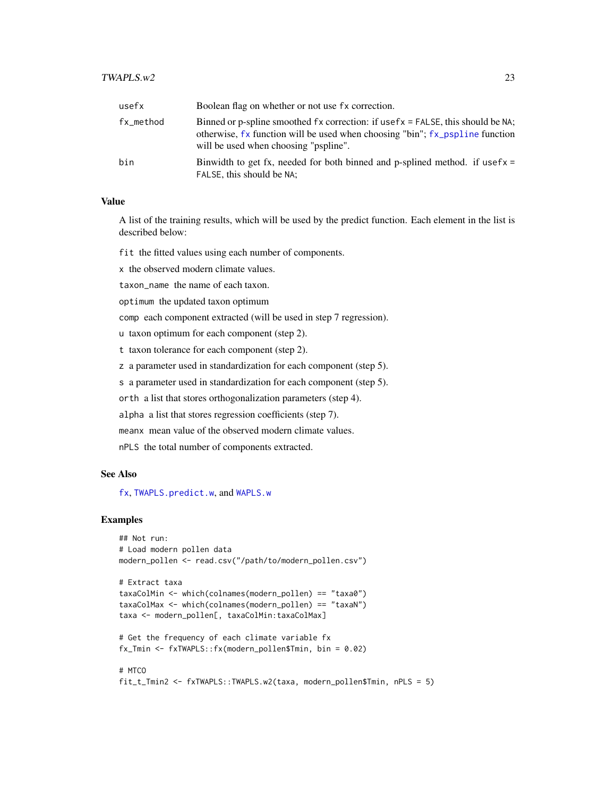#### <span id="page-22-0"></span> $TWAPLS.w2$  23

| usefx     | Boolean flag on whether or not use fx correction.                                                                                                                                                             |
|-----------|---------------------------------------------------------------------------------------------------------------------------------------------------------------------------------------------------------------|
| fx_method | Binned or p-spline smoothed $fx$ correction: if use $fx$ = FALSE, this should be NA;<br>otherwise, fx function will be used when choosing "bin"; fx_pspline function<br>will be used when choosing "pspline". |
| bin       | Binwidth to get fx, needed for both binned and p-splined method. if usef $x =$<br>FALSE, this should be NA;                                                                                                   |

# Value

A list of the training results, which will be used by the predict function. Each element in the list is described below:

fit the fitted values using each number of components.

x the observed modern climate values.

taxon name the name of each taxon.

optimum the updated taxon optimum

comp each component extracted (will be used in step 7 regression).

u taxon optimum for each component (step 2).

t taxon tolerance for each component (step 2).

z a parameter used in standardization for each component (step 5).

s a parameter used in standardization for each component (step 5).

orth a list that stores orthogonalization parameters (step 4).

alpha a list that stores regression coefficients (step 7).

meanx mean value of the observed modern climate values.

nPLS the total number of components extracted.

# See Also

[fx](#page-6-1), [TWAPLS.predict.w](#page-18-1), and [WAPLS.w](#page-24-1)

```
## Not run:
# Load modern pollen data
modern_pollen <- read.csv("/path/to/modern_pollen.csv")
# Extract taxa
taxaColMin <- which(colnames(modern_pollen) == "taxa0")
taxaColMax <- which(colnames(modern_pollen) == "taxaN")
taxa <- modern_pollen[, taxaColMin:taxaColMax]
# Get the frequency of each climate variable fx
fx_Tmin <- fxTWAPLS::fx(modern_pollen$Tmin, bin = 0.02)
```

```
# MTCO
fit_t_Tmin2 <- fxTWAPLS::TWAPLS.w2(taxa, modern_pollen$Tmin, nPLS = 5)
```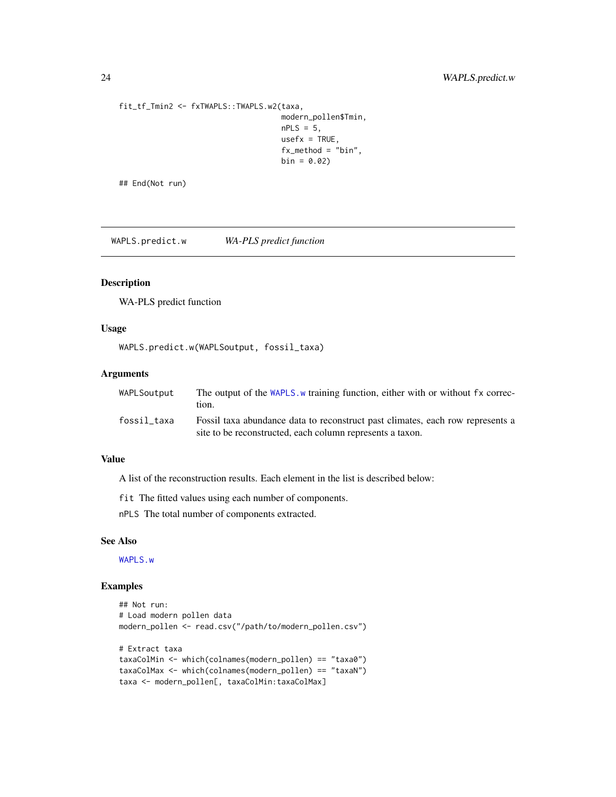```
fit_tf_Tmin2 <- fxTWAPLS::TWAPLS.w2(taxa,
                                   modern_pollen$Tmin,
                                   nPLS = 5,
                                   usefx = TRUE,fx_method = "bin",
                                   bin = 0.02
```
## End(Not run)

<span id="page-23-1"></span>WAPLS.predict.w *WA-PLS predict function*

# Description

WA-PLS predict function

# Usage

WAPLS.predict.w(WAPLSoutput, fossil\_taxa)

#### Arguments

| WAPLSoutput | The output of the WAPLS, w training function, either with or without fx correc-<br>tion.                                                    |
|-------------|---------------------------------------------------------------------------------------------------------------------------------------------|
| fossil_taxa | Fossil taxa abundance data to reconstruct past climates, each row represents a<br>site to be reconstructed, each column represents a taxon. |

# Value

A list of the reconstruction results. Each element in the list is described below:

fit The fitted values using each number of components.

nPLS The total number of components extracted.

#### See Also

[WAPLS.w](#page-24-1)

```
## Not run:
# Load modern pollen data
modern_pollen <- read.csv("/path/to/modern_pollen.csv")
# Extract taxa
taxaColMin <- which(colnames(modern_pollen) == "taxa0")
taxaColMax <- which(colnames(modern_pollen) == "taxaN")
taxa <- modern_pollen[, taxaColMin:taxaColMax]
```
<span id="page-23-0"></span>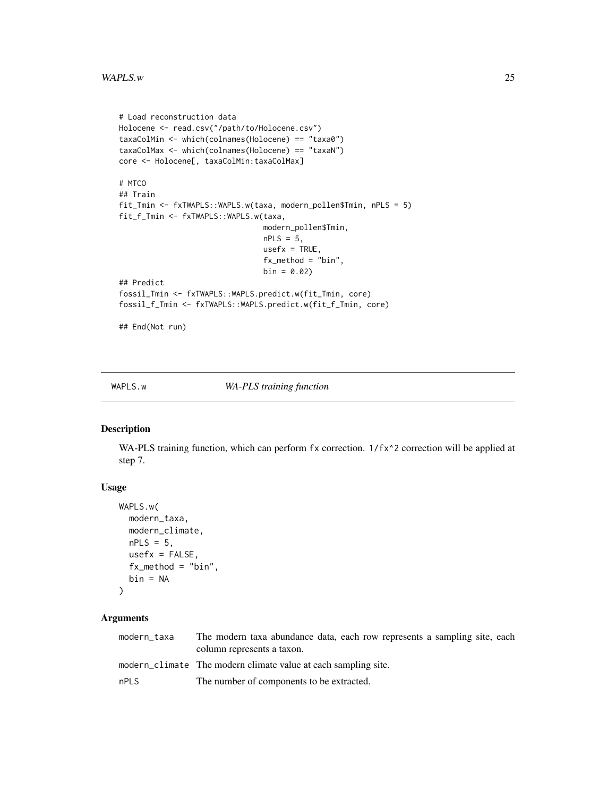#### <span id="page-24-0"></span>WAPLS.w 25

```
# Load reconstruction data
Holocene <- read.csv("/path/to/Holocene.csv")
taxaColMin <- which(colnames(Holocene) == "taxa0")
taxaColMax <- which(colnames(Holocene) == "taxaN")
core <- Holocene[, taxaColMin:taxaColMax]
# MTCO
## Train
fit_Tmin <- fxTWAPLS::WAPLS.w(taxa, modern_pollen$Tmin, nPLS = 5)
fit_f_Tmin <- fxTWAPLS::WAPLS.w(taxa,
                                modern_pollen$Tmin,
                                nPLS = 5,
                                usefx = TRUE,fx_method = "bin",
                                bin = 0.02)
## Predict
fossil_Tmin <- fxTWAPLS::WAPLS.predict.w(fit_Tmin, core)
fossil_f_Tmin <- fxTWAPLS::WAPLS.predict.w(fit_f_Tmin, core)
```
## End(Not run)

<span id="page-24-1"></span>

WAPLS.w *WA-PLS training function*

#### Description

WA-PLS training function, which can perform fx correction. 1/fx^2 correction will be applied at step 7.

# Usage

```
WAPLS.w(
 modern_taxa,
 modern_climate,
 nPLS = 5,
 usefx = FALSE,fx_method = "bin",
 bin = NA)
```
# Arguments

| modern taxa | The modern taxa abundance data, each row represents a sampling site, each<br>column represents a taxon. |
|-------------|---------------------------------------------------------------------------------------------------------|
|             | modern_climate The modern climate value at each sampling site.                                          |
| nPLS        | The number of components to be extracted.                                                               |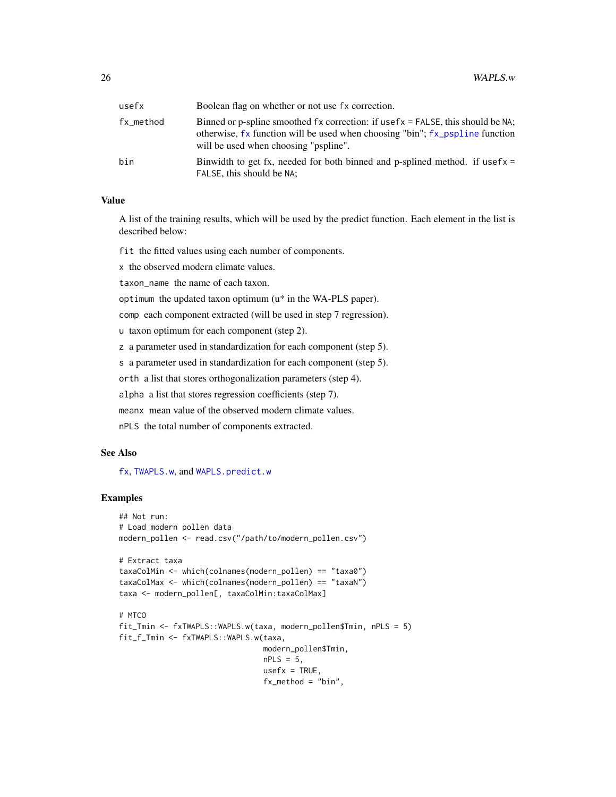<span id="page-25-0"></span>

| usefx     | Boolean flag on whether or not use fx correction.                                                                                                                                                        |
|-----------|----------------------------------------------------------------------------------------------------------------------------------------------------------------------------------------------------------|
| fx_method | Binned or p-spline smoothed fx correction: if usefx = FALSE, this should be NA;<br>otherwise, fx function will be used when choosing "bin"; fx_pspline function<br>will be used when choosing "pspline". |
| bin       | Binwidth to get fx, needed for both binned and p-splined method. if usefx $=$<br>FALSE, this should be NA;                                                                                               |

# Value

A list of the training results, which will be used by the predict function. Each element in the list is described below:

fit the fitted values using each number of components.

x the observed modern climate values.

taxon\_name the name of each taxon.

optimum the updated taxon optimum (u\* in the WA-PLS paper).

comp each component extracted (will be used in step 7 regression).

u taxon optimum for each component (step 2).

z a parameter used in standardization for each component (step 5).

s a parameter used in standardization for each component (step 5).

orth a list that stores orthogonalization parameters (step 4).

alpha a list that stores regression coefficients (step 7).

meanx mean value of the observed modern climate values.

nPLS the total number of components extracted.

#### See Also

#### [fx](#page-6-1), [TWAPLS.w](#page-19-1), and [WAPLS.predict.w](#page-23-1)

```
## Not run:
# Load modern pollen data
modern_pollen <- read.csv("/path/to/modern_pollen.csv")
# Extract taxa
taxaColMin <- which(colnames(modern_pollen) == "taxa0")
taxaColMax <- which(colnames(modern_pollen) == "taxaN")
taxa <- modern_pollen[, taxaColMin:taxaColMax]
# MTCO
fit_Tmin <- fxTWAPLS::WAPLS.w(taxa, modern_pollen$Tmin, nPLS = 5)
fit_f_Tmin <- fxTWAPLS::WAPLS.w(taxa,
                                modern_pollen$Tmin,
                                nPLS = 5,
```

```
usefx = TRUE,fx_method = "bin",
```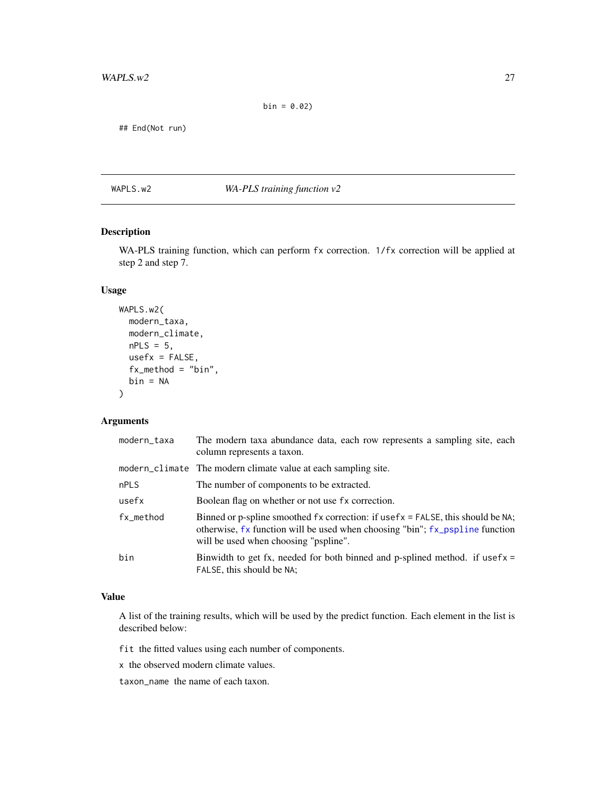<span id="page-26-0"></span>## End(Not run)

WAPLS.w2 *WA-PLS training function v2*

# Description

WA-PLS training function, which can perform fx correction. 1/fx correction will be applied at step 2 and step 7.

# Usage

```
WAPLS.w2(
  modern_taxa,
 modern_climate,
 nPLS = 5,
  usefx = FALSE,fx_method = "bin",bin = NA)
```
# Arguments

| modern_taxa | The modern taxa abundance data, each row represents a sampling site, each<br>column represents a taxon.                                                                                                        |
|-------------|----------------------------------------------------------------------------------------------------------------------------------------------------------------------------------------------------------------|
|             | modern_climate The modern climate value at each sampling site.                                                                                                                                                 |
| nPLS        | The number of components to be extracted.                                                                                                                                                                      |
| usefx       | Boolean flag on whether or not use fx correction.                                                                                                                                                              |
| fx_method   | Binned or p-spline smoothed $fx$ correction: if usef $x = FALSE$ , this should be NA;<br>otherwise, fx function will be used when choosing "bin"; fx_pspline function<br>will be used when choosing "pspline". |
| bin         | Binwidth to get fx, needed for both binned and p-splined method. if usef $x =$<br>FALSE, this should be NA;                                                                                                    |

# Value

A list of the training results, which will be used by the predict function. Each element in the list is described below:

fit the fitted values using each number of components.

x the observed modern climate values.

taxon\_name the name of each taxon.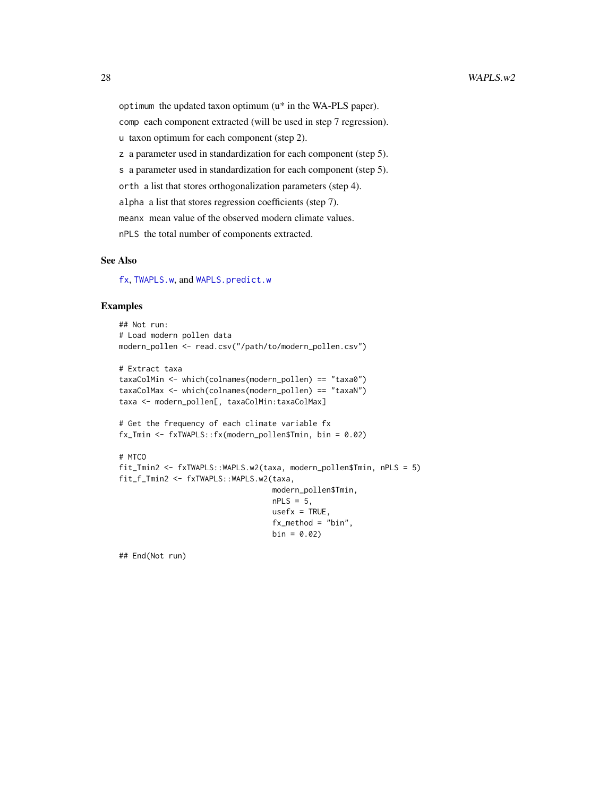<span id="page-27-0"></span>optimum the updated taxon optimum (u\* in the WA-PLS paper). comp each component extracted (will be used in step 7 regression). u taxon optimum for each component (step 2). z a parameter used in standardization for each component (step 5). s a parameter used in standardization for each component (step 5). orth a list that stores orthogonalization parameters (step 4). alpha a list that stores regression coefficients (step 7). meanx mean value of the observed modern climate values. nPLS the total number of components extracted.

# See Also

[fx](#page-6-1), [TWAPLS.w](#page-19-1), and [WAPLS.predict.w](#page-23-1)

# Examples

```
## Not run:
# Load modern pollen data
modern_pollen <- read.csv("/path/to/modern_pollen.csv")
# Extract taxa
taxaColMin <- which(colnames(modern_pollen) == "taxa0")
taxaColMax <- which(colnames(modern_pollen) == "taxaN")
taxa <- modern_pollen[, taxaColMin:taxaColMax]
# Get the frequency of each climate variable fx
fx_Tmin <- fxTWAPLS::fx(modern_pollen$Tmin, bin = 0.02)
# MTCO
fit_Tmin2 <- fxTWAPLS::WAPLS.w2(taxa, modern_pollen$Tmin, nPLS = 5)
fit_f_Tmin2 <- fxTWAPLS::WAPLS.w2(taxa,
                                  modern_pollen$Tmin,
                                  nPLS = 5,
                                  usefx = TRUE,fx_method = "bin",
                                  bin = 0.02
```
## End(Not run)